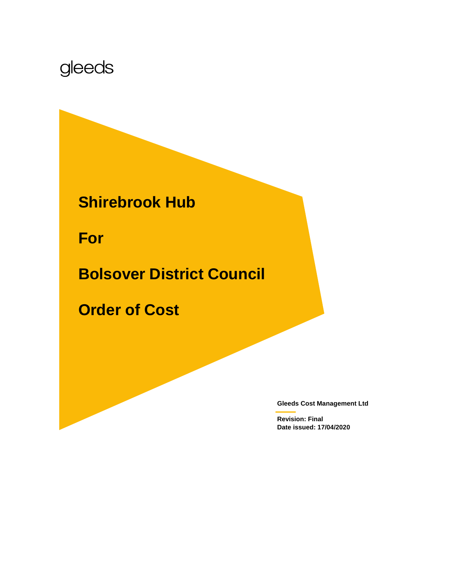# gleeds

**Shirebrook Hub**

**For** 

**Bolsover District Council**

**Order of Cost**

**Gleeds Cost Management Ltd**

**Revision: Final Date issued: 17/04/2020**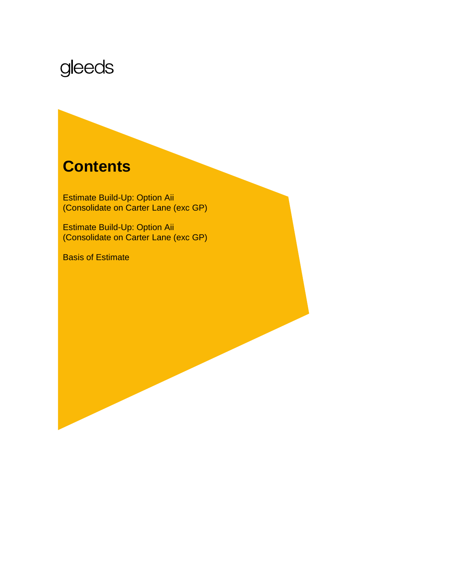# gleeds

# **Contents**

Estimate Build-Up: Option Aii (Consolidate on Carter Lane (exc GP)

Estimate Build-Up: Option Aii (Consolidate on Carter Lane (exc GP)

Basis of Estimate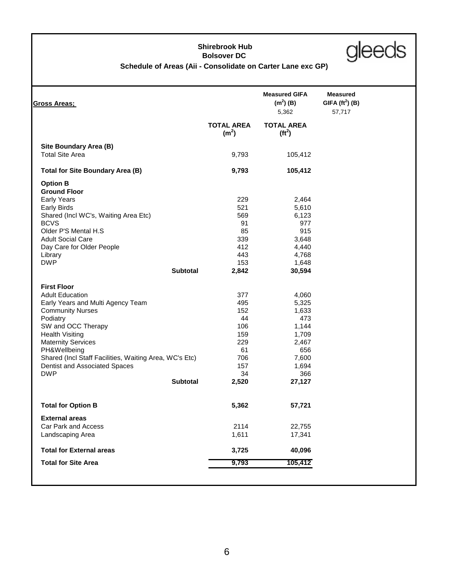# **Shirebrook Hub Bolsover DC**



# **Schedule of Areas (Aii - Consolidate on Carter Lane exc GP)**

| <b>Gross Areas;</b>                                    |                                        | <b>Measured GIFA</b><br>$(m2)$ (B)<br>5,362     | <b>Measured</b><br>GIFA $(ft^2)$ (B)<br>57,717 |
|--------------------------------------------------------|----------------------------------------|-------------------------------------------------|------------------------------------------------|
|                                                        | <b>TOTAL AREA</b><br>(m <sup>2</sup> ) | <b>TOTAL AREA</b><br>( <b>ft</b> <sup>2</sup> ) |                                                |
| Site Boundary Area (B)                                 |                                        |                                                 |                                                |
| <b>Total Site Area</b>                                 | 9,793                                  | 105,412                                         |                                                |
| <b>Total for Site Boundary Area (B)</b>                | 9,793                                  | 105,412                                         |                                                |
| <b>Option B</b>                                        |                                        |                                                 |                                                |
| <b>Ground Floor</b>                                    |                                        |                                                 |                                                |
| <b>Early Years</b>                                     | 229                                    | 2,464                                           |                                                |
| <b>Early Birds</b>                                     | 521                                    | 5,610                                           |                                                |
| Shared (Incl WC's, Waiting Area Etc)                   | 569                                    | 6,123                                           |                                                |
| <b>BCVS</b>                                            | 91                                     | 977                                             |                                                |
| Older P'S Mental H.S                                   | 85                                     | 915                                             |                                                |
| <b>Adult Social Care</b>                               | 339                                    | 3,648                                           |                                                |
| Day Care for Older People                              | 412                                    | 4,440                                           |                                                |
| Library                                                | 443                                    | 4,768                                           |                                                |
| <b>DWP</b>                                             | 153                                    | 1,648                                           |                                                |
| <b>Subtotal</b>                                        | 2,842                                  | 30,594                                          |                                                |
| <b>First Floor</b>                                     |                                        |                                                 |                                                |
| <b>Adult Education</b>                                 | 377                                    | 4,060                                           |                                                |
| Early Years and Multi Agency Team                      | 495                                    | 5,325                                           |                                                |
| <b>Community Nurses</b>                                | 152                                    | 1,633                                           |                                                |
| Podiatry                                               | 44                                     | 473                                             |                                                |
| SW and OCC Therapy                                     | 106                                    | 1,144                                           |                                                |
| <b>Health Visiting</b>                                 | 159                                    | 1,709                                           |                                                |
| <b>Maternity Services</b>                              | 229                                    | 2,467                                           |                                                |
| PH&Wellbeing                                           | 61                                     | 656                                             |                                                |
| Shared (Incl Staff Facilities, Waiting Area, WC's Etc) | 706                                    | 7,600                                           |                                                |
| Dentist and Associated Spaces                          | 157                                    | 1,694                                           |                                                |
| <b>DWP</b>                                             | 34                                     | 366                                             |                                                |
| <b>Subtotal</b>                                        | 2,520                                  | 27,127                                          |                                                |
| <b>Total for Option B</b>                              | 5,362                                  | 57,721                                          |                                                |
| <b>External areas</b>                                  |                                        |                                                 |                                                |
| Car Park and Access                                    | 2114                                   |                                                 |                                                |
| Landscaping Area                                       | 1,611                                  | 22,755<br>17,341                                |                                                |
|                                                        |                                        |                                                 |                                                |
| <b>Total for External areas</b>                        | 3,725                                  | 40,096                                          |                                                |
| <b>Total for Site Area</b>                             | 9,793                                  | 105,412                                         |                                                |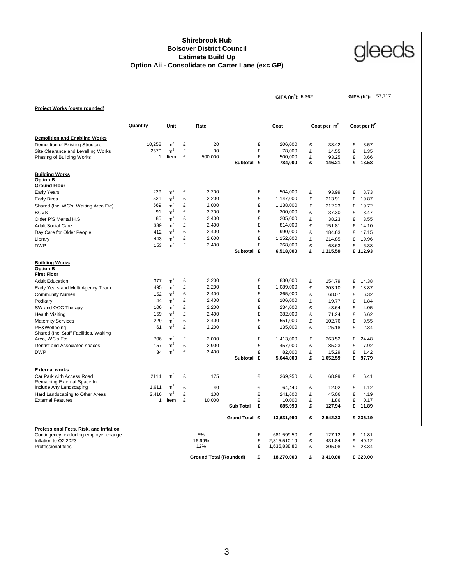### **Option Aii - Consolidate on Carter Lane (exc GP) Shirebrook Hub Bolsover District Council Estimate Build Up**



|                                                                |              |                |        |                               |                  |        | GIFA $(m^2)$ : 5,362 |        |                | 57,717<br>GIFA $(\text{ft}^2)$ : |                 |  |  |
|----------------------------------------------------------------|--------------|----------------|--------|-------------------------------|------------------|--------|----------------------|--------|----------------|----------------------------------|-----------------|--|--|
| Project Works (costs rounded)                                  |              |                |        |                               |                  |        |                      |        |                |                                  |                 |  |  |
|                                                                | Quantity     | Unit           |        | Rate                          |                  |        | Cost                 |        | Cost per $m2$  |                                  | Cost per $ft^2$ |  |  |
| <b>Demolition and Enabling Works</b>                           |              |                |        |                               |                  |        |                      |        |                |                                  |                 |  |  |
| Demolition of Existing Structure                               | 10,258       | m <sup>3</sup> | £      | 20                            |                  | £      | 206,000              | £      | 38.42          | £                                | 3.57            |  |  |
| Site Clearance and Levelling Works                             | 2570         | m <sup>2</sup> | £      | 30                            |                  | £      | 78,000               | £      | 14.55          | £                                | 1.35            |  |  |
| Phasing of Building Works                                      | 1            | Item           | £      | 500,000                       |                  | £      | 500,000              | £      | 93.25          | £                                | 8.66            |  |  |
|                                                                |              |                |        |                               | Subtotal £       |        | 784,000              | £      | 146.21         | £                                | 13.58           |  |  |
| <b>Building Works</b>                                          |              |                |        |                               |                  |        |                      |        |                |                                  |                 |  |  |
| <b>Option B</b>                                                |              |                |        |                               |                  |        |                      |        |                |                                  |                 |  |  |
| <b>Ground Floor</b>                                            |              |                |        |                               |                  |        |                      |        |                |                                  |                 |  |  |
| Early Years                                                    | 229          | m <sup>2</sup> | £      | 2,200                         |                  | £      | 504,000              | £      | 93.99          | £                                | 8.73            |  |  |
| Early Birds                                                    | 521          | $\rm m^2$      | £      | 2,200                         |                  | £      | 1,147,000            | £      | 213.91         | £                                | 19.87           |  |  |
| Shared (Incl WC's, Waiting Area Etc)                           | 569          | m <sup>2</sup> | £      | 2,000                         |                  | £      | 1,138,000            | £      | 212.23         | £                                | 19.72           |  |  |
| <b>BCVS</b>                                                    | 91           | m <sup>2</sup> | £      | 2,200                         |                  | £      | 200,000              | £      | 37.30          | £                                | 3.47            |  |  |
| Older P'S Mental H.S                                           | 85           | m <sup>2</sup> | £      | 2,400                         |                  | £      | 205,000              | £      | 38.23          | £                                | 3.55            |  |  |
| <b>Adult Social Care</b>                                       | 339          | m <sup>2</sup> | £      | 2,400                         |                  | £      | 814,000              | £      | 151.81         | £                                | 14.10           |  |  |
| Day Care for Older People                                      | 412          | m <sup>2</sup> | £      | 2,400                         |                  | £      | 990,000              | £      | 184.63         | £                                | 17.15           |  |  |
| Library                                                        | 443          | m <sup>2</sup> | £      | 2,600                         |                  | £      | 1,152,000            | £      | 214.85         | £                                | 19.96           |  |  |
| <b>DWP</b>                                                     | 153          | m <sup>2</sup> | £      | 2,400                         |                  | £      | 368,000              | £      | 68.63          | £                                | 6.38            |  |  |
|                                                                |              |                |        |                               | Subtotal £       |        | 6,518,000            | £      | 1,215.59       |                                  | £ 112.93        |  |  |
| <b>Building Works</b><br><b>Option B</b><br><b>First Floor</b> |              |                |        |                               |                  |        |                      |        |                |                                  |                 |  |  |
| <b>Adult Education</b>                                         | 377          | m <sup>2</sup> | £      | 2,200                         |                  | £      | 830,000              | £      | 154.79         | £                                | 14.38           |  |  |
| Early Years and Multi Agency Team                              | 495          | m <sup>2</sup> | £      | 2,200                         |                  | £      | 1,089,000            | £      | 203.10         | £                                | 18.87           |  |  |
| <b>Community Nurses</b>                                        | 152          | m <sup>2</sup> | £      | 2,400                         |                  | £      | 365,000              | £      | 68.07          | £                                | 6.32            |  |  |
| Podiatry                                                       | 44           | m <sup>2</sup> | £      | 2,400                         |                  | £      | 106,000              | £      | 19.77          | £                                | 1.84            |  |  |
| SW and OCC Therapy                                             | 106          | m <sup>2</sup> | £      | 2,200                         |                  | £      | 234,000              | £      | 43.64          | £                                | 4.05            |  |  |
|                                                                | 159          | m <sup>2</sup> | £      | 2,400                         |                  | £      | 382,000              | £      | 71.24          | £                                | 6.62            |  |  |
| <b>Health Visiting</b>                                         | 229          | m <sup>2</sup> | £      | 2,400                         |                  | £      | 551,000              | £      | 102.76         | £                                | 9.55            |  |  |
| <b>Maternity Services</b>                                      | 61           | m <sup>2</sup> | £      | 2,200                         |                  | £      | 135,000              | £      |                | £                                |                 |  |  |
| PH&Wellbeing<br>Shared (Incl Staff Facilities, Waiting         |              |                |        |                               |                  |        |                      |        | 25.18          |                                  | 2.34            |  |  |
| Area, WC's Etc                                                 | 706          | $\rm m^2$      | £      | 2,000                         |                  | £      | 1,413,000            | £      | 263.52         | £                                | 24.48           |  |  |
| Dentist and Associated spaces                                  | 157          | m <sup>2</sup> | £      | 2,900                         |                  | £      | 457,000              | £      | 85.23          | £                                | 7.92            |  |  |
| <b>DWP</b>                                                     | 34           | m <sup>2</sup> | £      | 2,400                         |                  | £      | 82,000               | £      | 15.29          | £                                | 1.42            |  |  |
|                                                                |              |                |        |                               | Subtotal £       |        | 5,644,000            | £      | 1,052.59       | £                                | 97.79           |  |  |
| <b>External works</b>                                          |              |                |        |                               |                  |        |                      |        |                |                                  |                 |  |  |
| Car Park with Access Road                                      | 2114         | m <sup>2</sup> | £      | 175                           |                  | £      | 369,950              | £      | 68.99          | £                                | 6.41            |  |  |
| Remaining External Space to                                    |              | m <sup>2</sup> |        |                               |                  |        |                      |        |                |                                  |                 |  |  |
| Include Any Landscaping                                        | 1,611        |                | £      | 40                            |                  | £      | 64,440               | £      | 12.02          | £                                | 1.12            |  |  |
| Hard Landscaping to Other Areas                                | 2,416        | m <sup>2</sup> | £<br>£ | 100                           |                  | £      | 241,600              | £<br>£ | 45.06          | £<br>£                           | 4.19            |  |  |
| <b>External Features</b>                                       | $\mathbf{1}$ | item           |        | 10,000                        | <b>Sub Total</b> | £<br>£ | 10,000<br>685,990    | £      | 1.86<br>127.94 | £                                | 0.17<br>11.89   |  |  |
|                                                                |              |                |        |                               |                  |        |                      |        |                |                                  |                 |  |  |
|                                                                |              |                |        |                               | Grand Total £    |        | 13,631,990           | £      | 2,542.33       |                                  | £ 236.19        |  |  |
| Professional Fees, Risk, and Inflation                         |              |                |        |                               |                  |        |                      |        |                |                                  |                 |  |  |
| Contingency; excluding employer change                         |              |                |        | 5%                            |                  | £      | 681,599.50           | £      | 127.12         | £                                | 11.81           |  |  |
| Inflation to Q2 2023                                           |              |                |        | 16.99%                        |                  | £      | 2,315,510.19         | £      | 431.84         | £                                | 40.12           |  |  |
| Professional fees                                              |              |                |        | 12%                           |                  | £      | 1,635,838.80         | £      | 305.08         | £                                | 28.34           |  |  |
|                                                                |              |                |        | <b>Ground Total (Rounded)</b> |                  | £      | 18,270,000           | £      | 3,410.00       |                                  | £ 320.00        |  |  |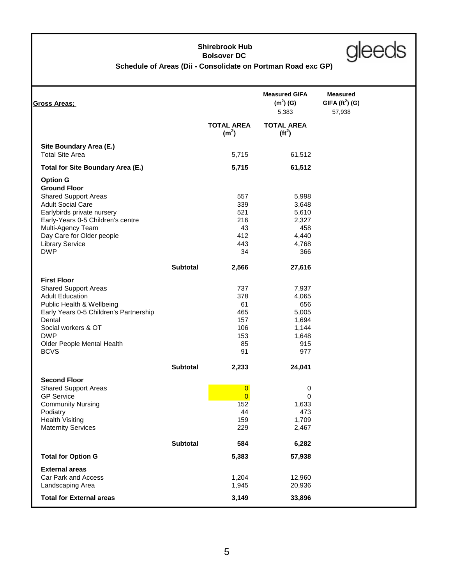# **Shirebrook Hub Bolsover DC**



# **Schedule of Areas (Dii - Consolidate on Portman Road exc GP)**

|                 |                                                             |                                                                         | <b>Measured</b>                      |
|-----------------|-------------------------------------------------------------|-------------------------------------------------------------------------|--------------------------------------|
|                 |                                                             | $(m2)$ (G)<br>5,383                                                     | GIFA $(\text{ft}^2)$ (G)<br>57,938   |
|                 | <b>TOTAL AREA</b><br>(m <sup>2</sup> )                      | <b>TOTAL AREA</b><br>(tf <sup>2</sup> )                                 |                                      |
|                 | 5,715                                                       | 61,512                                                                  |                                      |
|                 | 5,715                                                       | 61,512                                                                  |                                      |
|                 | 557<br>339<br>521<br>216<br>43                              | 5,998<br>3,648<br>5,610<br>2,327<br>458                                 |                                      |
|                 | 443                                                         | 4,768                                                                   |                                      |
|                 |                                                             |                                                                         |                                      |
| <b>Subtotal</b> | 2,566                                                       | 27,616                                                                  |                                      |
|                 | 737<br>378<br>61<br>465<br>157<br>106<br>153<br>85<br>91    | 7,937<br>4,065<br>656<br>5,005<br>1,694<br>1,144<br>1,648<br>915<br>977 |                                      |
| <b>Subtotal</b> | 2,233                                                       | 24,041                                                                  |                                      |
|                 | $\overline{0}$<br>$\overline{0}$<br>152<br>44<br>159<br>229 | 0<br>0<br>1,633<br>473<br>1,709<br>2,467                                |                                      |
| <b>Subtotal</b> | 584                                                         | 6,282                                                                   |                                      |
|                 | 5,383                                                       | 57,938                                                                  |                                      |
|                 | 1,204<br>1,945<br>3,149                                     | 12,960<br>20,936<br>33,896                                              |                                      |
|                 |                                                             | 412<br>34                                                               | <b>Measured GIFA</b><br>4,440<br>366 |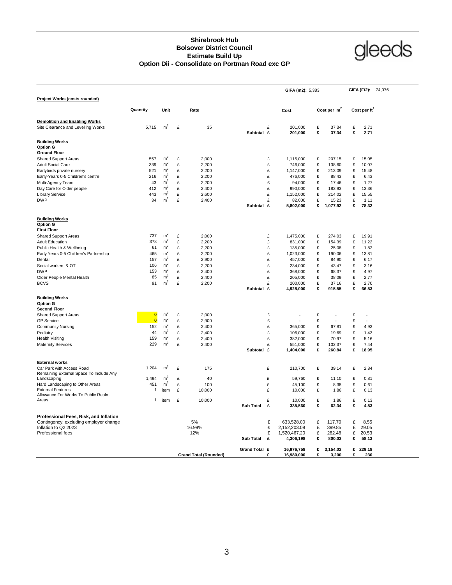#### **Shirebrook Hub Bolsover District Council Estimate Build Up Option Dii - Consolidate on Portman Road exc GP**



|                                                                      |                         |                |   |                              |                  |        | GIFA (m2): 5,383     |        |                   |        | GIFA (Ft2): 74,076       |  |
|----------------------------------------------------------------------|-------------------------|----------------|---|------------------------------|------------------|--------|----------------------|--------|-------------------|--------|--------------------------|--|
| Project Works (costs rounded)                                        |                         |                |   |                              |                  |        |                      |        |                   |        |                          |  |
|                                                                      | Quantity                | Unit           |   | Rate                         |                  |        | Cost                 |        | Cost per $m2$     |        | Cost per ft <sup>2</sup> |  |
| <b>Demolition and Enabling Works</b>                                 |                         |                |   |                              |                  |        |                      |        |                   |        |                          |  |
| Site Clearance and Levelling Works                                   | 5.715                   | m <sup>2</sup> | £ | 35                           | Subtotal £       | £      | 201.000<br>201,000   | £<br>£ | 37.34<br>37.34    | £<br>£ | 2.71<br>2.71             |  |
| <b>Building Works</b>                                                |                         |                |   |                              |                  |        |                      |        |                   |        |                          |  |
| <b>Option G</b>                                                      |                         |                |   |                              |                  |        |                      |        |                   |        |                          |  |
| <b>Ground Floor</b>                                                  |                         | m <sup>2</sup> |   |                              |                  |        |                      |        |                   |        |                          |  |
| <b>Shared Support Areas</b>                                          | 557                     | m <sup>2</sup> | £ | 2,000                        |                  | £      | 1,115,000            | £      | 207.15            | £      | 15.05                    |  |
| <b>Adult Social Care</b>                                             | 339                     | m <sup>2</sup> | £ | 2,200                        |                  | £      | 746,000              | £      | 138.60            | £      | 10.07                    |  |
| Earlybirds private nursery                                           | 521                     |                | £ | 2,200                        |                  | £      | 1,147,000            | £      | 213.09            | £      | 15.48                    |  |
| Early-Years 0-5 Children's centre                                    | 216                     | m <sup>2</sup> | £ | 2,200                        |                  | £      | 476,000              | £      | 88.43             | £      | 6.43                     |  |
| Multi-Agency Team                                                    | 43                      | m <sup>2</sup> | £ | 2,200                        |                  | £      | 94,000               | £      | 17.46             | £      | 1.27                     |  |
| Day Care for Older people                                            | 412                     | m <sup>2</sup> | £ | 2,400                        |                  | £      | 990,000              | £      | 183.93            | £      | 13.36                    |  |
| <b>Library Service</b>                                               | 443                     | m <sup>2</sup> | £ | 2,600                        |                  | £      | 1,152,000            | £      | 214.02            | £      | 15.55                    |  |
| <b>DWP</b>                                                           | 34                      | m <sup>2</sup> | £ | 2,400                        | Subtotal £       | £      | 82,000<br>5,802,000  | £<br>£ | 15.23<br>1,077.92 | £<br>£ | 1.11<br>78.32            |  |
| <b>Building Works</b>                                                |                         |                |   |                              |                  |        |                      |        |                   |        |                          |  |
| <b>Option G</b><br><b>First Floor</b>                                |                         |                |   |                              |                  |        |                      |        |                   |        |                          |  |
|                                                                      | 737                     | m <sup>2</sup> | £ | 2.000                        |                  | £      | 1.475.000            | £      | 274.03            | £      | 19.91                    |  |
| <b>Shared Support Areas</b>                                          |                         | m <sup>2</sup> | £ |                              |                  |        |                      |        |                   |        |                          |  |
| <b>Adult Education</b>                                               | 378                     |                |   | 2,200                        |                  | £      | 831,000              | £      | 154.39            | £      | 11.22                    |  |
| Public Health & Wellbeing                                            | 61                      | m <sup>2</sup> | £ | 2,200                        |                  | £      | 135,000              | £      | 25.08             | £      | 1.82                     |  |
| Early Years 0-5 Children's Partnership                               | 465                     | m <sup>2</sup> | £ | 2,200                        |                  | £      | 1,023,000            | £      | 190.06            | £      | 13.81                    |  |
| Dental                                                               | 157                     | m <sup>2</sup> | £ | 2,900                        |                  | £      | 457,000              | £      | 84.90             | £      | 6.17                     |  |
| Social workers & OT                                                  | 106                     | m <sup>2</sup> | £ | 2,200                        |                  | £      | 234,000              | £      | 43.47             | £      | 3.16                     |  |
| <b>DWP</b>                                                           | 153                     | m <sup>2</sup> | £ | 2,400                        |                  | £      | 368,000              | £      | 68.37             | £      | 4.97                     |  |
| Older People Mental Health                                           | 85                      | m <sup>2</sup> | £ | 2,400                        |                  | £      | 205,000              | £      | 38.09             | £      | 2.77                     |  |
| <b>BCVS</b>                                                          | 91                      | m <sup>2</sup> | £ | 2,200                        | Subtotal £       | £      | 200,000<br>4,928,000 | £<br>£ | 37.16<br>915.55   | £<br>£ | 2.70<br>66.53            |  |
|                                                                      |                         |                |   |                              |                  |        |                      |        |                   |        |                          |  |
| <b>Building Works</b><br><b>Option G</b>                             |                         |                |   |                              |                  |        |                      |        |                   |        |                          |  |
| <b>Second Floor</b>                                                  |                         |                |   |                              |                  |        |                      |        |                   |        |                          |  |
| <b>Shared Support Areas</b>                                          | $\overline{\mathbf{0}}$ | m <sup>2</sup> | £ | 2,000                        |                  | £      | ÷.                   | £      | ÷.                | £      | ÷,                       |  |
| <b>GP</b> Service                                                    | $\overline{0}$          | m <sup>2</sup> | £ | 2,900                        |                  | £      |                      | £      | ÷.                | £      | ÷.                       |  |
| <b>Community Nursing</b>                                             | 152                     | m <sup>2</sup> | £ | 2,400                        |                  | £      | 365,000              | £      | 67.81             | £      | 4.93                     |  |
| Podiatry                                                             | 44                      | m <sup>2</sup> | £ | 2,400                        |                  | £      | 106,000              | £      | 19.69             | £      | 1.43                     |  |
| <b>Health Visiting</b>                                               | 159                     | m <sup>2</sup> | £ | 2,400                        |                  | £      | 382,000              | £      | 70.97             | £      | 5.16                     |  |
| <b>Maternity Services</b>                                            | 229                     | m <sup>2</sup> | £ | 2,400                        |                  | £      | 551,000              | £      | 102.37            | £      | 7.44                     |  |
|                                                                      |                         |                |   |                              | Subtotal £       |        | 1,404,000            | £      | 260.84            | £      | 18.95                    |  |
| <b>External works</b>                                                |                         |                |   |                              |                  |        |                      |        |                   |        |                          |  |
| Car Park with Access Road<br>Remaining External Space To Include Any | 1,204                   | $m^2$          | £ | 175                          |                  | £      | 210,700              | £      | 39.14             | £      | 2.84                     |  |
| Landscaping                                                          | 1,494                   | m <sup>2</sup> | £ | 40                           |                  | £      | 59,760               | £      | 11.10             | £      | 0.81                     |  |
| Hard Landscaping to Other Areas                                      | 451                     | m <sup>2</sup> | £ | 100                          |                  | £      | 45,100               | £      | 8.38              | £      | 0.61                     |  |
| <b>External Features</b>                                             | 1                       | item           | £ | 10,000                       |                  | £      | 10,000               | £      | 1.86              | £      | 0.13                     |  |
| Allowance For Works To Public Realm                                  |                         |                |   |                              |                  |        |                      |        |                   |        |                          |  |
| Areas                                                                | 1                       | item           | £ | 10,000                       | <b>Sub Total</b> | £<br>£ | 10,000<br>335,560    | £<br>£ | 1.86<br>62.34     | £<br>£ | 0.13<br>4.53             |  |
| Professional Fees, Risk, and Inflation                               |                         |                |   |                              |                  |        |                      |        |                   |        |                          |  |
| Contingency; excluding employer change                               |                         |                |   | 5%                           |                  | £      | 633,528.00           | £      | 117.70            | £      | 8.55                     |  |
| Inflation to Q2 2023                                                 |                         |                |   | 16.99%                       |                  | £      | 2,152,203.08         | £      | 399.85            | £      | 29.05                    |  |
| Professional fees                                                    |                         |                |   | 12%                          |                  | £      | 1,520,467.20         | £      | 282.48            | £      | 20.53                    |  |
|                                                                      |                         |                |   |                              | <b>Sub Total</b> | £      | 4,306,198            | £      | 800.03            | £      | 58.13                    |  |
|                                                                      |                         |                |   |                              | Grand Total £    |        | 16.976.758           | £      | 3.154.02          |        | £ 229.18                 |  |
|                                                                      |                         |                |   | <b>Grand Total (Rounded)</b> |                  | £      | 16.980.000           | £      | 3.200             | £      | 230                      |  |